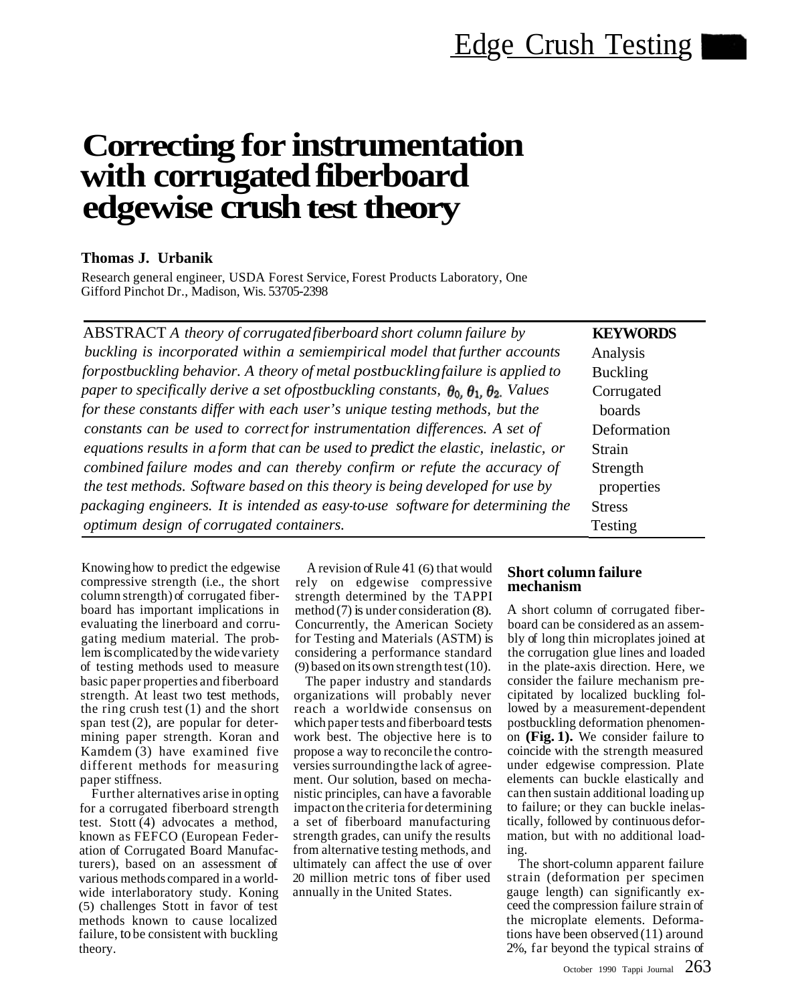# **Correcting for instrumentation with corrugated fiberboard edgewise crush test theory**

## **Thomas J. Urbanik**

Research general engineer, USDA Forest Service, Forest Products Laboratory, One Gifford Pinchot Dr., Madison, Wis. 53705-2398

| ABSTRACT A theory of corrugated fiberboard short column failure by                                          | <b>KEYWORDS</b> |
|-------------------------------------------------------------------------------------------------------------|-----------------|
| buckling is incorporated within a semiempirical model that further accounts                                 | Analysis        |
| forpostbuckling behavior. A theory of metal postbuckling failure is applied to                              | <b>Buckling</b> |
| paper to specifically derive a set of postbuckling constants, $\theta_0$ , $\theta_1$ , $\theta_2$ . Values | Corrugated      |
| for these constants differ with each user's unique testing methods, but the                                 | boards          |
| constants can be used to correct for instrumentation differences. A set of                                  | Deformation     |
| equations results in a form that can be used to predict the elastic, inelastic, or                          | <b>Strain</b>   |
| combined failure modes and can thereby confirm or refute the accuracy of                                    | Strength        |
| the test methods. Software based on this theory is being developed for use by                               | properties      |
| packaging engineers. It is intended as easy-to-use software for determining the                             | <b>Stress</b>   |
| optimum design of corrugated containers.                                                                    | Testing         |

Knowing how to predict the edgewise compressive strength (i.e., the short column strength) of corrugated fiberboard has important implications in evaluating the linerboard and corrugating medium material. The problem is complicated by the wide variety of testing methods used to measure basic paper properties and fiberboard strength. At least two test methods, the ring crush test  $(1)$  and the short span test  $(2)$ , are popular for determining paper strength. Koran and Kamdem (3) have examined five different methods for measuring paper stiffness.

Further alternatives arise in opting for a corrugated fiberboard strength test. Stott (4) advocates a method, known as FEFCO (European Federation of Corrugated Board Manufacturers), based on an assessment of various methods compared in a worldwide interlaboratory study. Koning (5) challenges Stott in favor of test methods known to cause localized failure, to be consistent with buckling theory.

A revision of Rule 41 (6) that would rely on edgewise compressive strength determined by the TAPPI method (7) is under consideration (8). Concurrently, the American Society for Testing and Materials (ASTM) is considering a performance standard (9) based on its own strength test (10).

The paper industry and standards organizations will probably never reach a worldwide consensus on which paper tests and fiberboard tests work best. The objective here is to propose a way to reconcile the controversies surroundingthe lack of agreement. Our solution, based on mechanistic principles, can have a favorable impact on the criteria for determining a set of fiberboard manufacturing strength grades, can unify the results from alternative testing methods, and ultimately can affect the use of over 20 million metric tons of fiber used annually in the United States.

### **Short column failure mechanism**

A short column of corrugated fiberboard can be considered as an assembly of long thin microplates joined at the corrugation glue lines and loaded in the plate-axis direction. Here, we consider the failure mechanism precipitated by localized buckling followed by a measurement-dependent postbuckling deformation phenomenon **(Fig. 1).** We consider failure to coincide with the strength measured under edgewise compression. Plate elements can buckle elastically and can then sustain additional loading up to failure; or they can buckle inelastically, followed by continuous deformation, but with no additional loading.

The short-column apparent failure strain (deformation per specimen gauge length) can significantly exceed the compression failure strain of the microplate elements. Deformations have been observed (11) around 2%, far beyond the typical strains of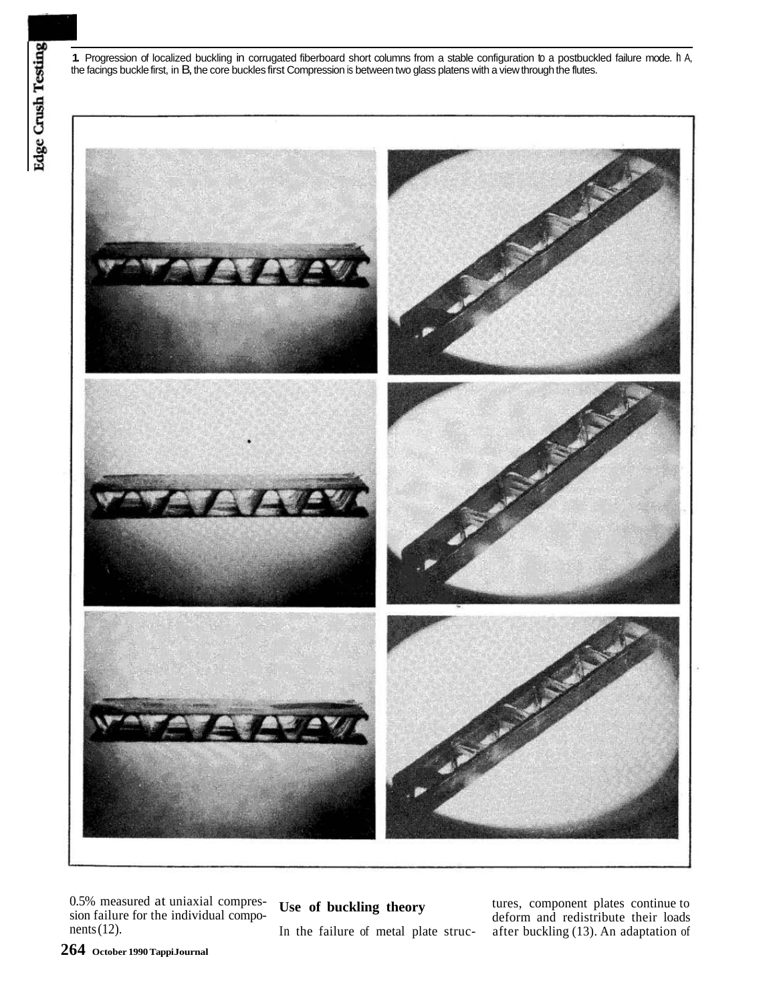**1.** Progression of localized buckling in corrugated fiberboard short columns from a stable configuration to a postbuckled failure mode. In A, the facings buckle first, in B, the core buckles first Compression is between two glass platens with a view through the flutes.



In the failure of metal plate struc-

0.5% measured at uniaxial compres-<br>sion failure for the individual compo-<br>deform and redistribute their loads sion failure for the individual compo-<br>nets (12). In the failure of metal plate struc-<br> $\frac{1}{2}$  after buckling (13). An adaptation of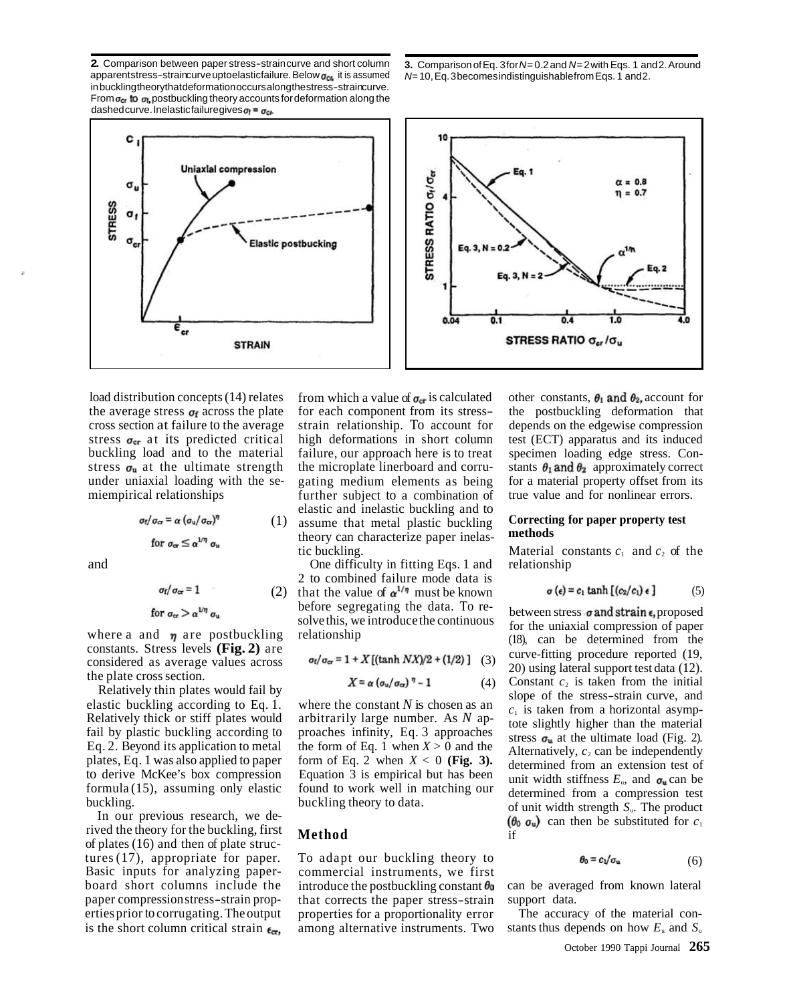**2.** Comparison between paper stress-straincurve and short column **3.** Comparison of Eq. 3 for*N*= 0.2 and *N*= 2 with Eqs. 1 and 2. Around apparentstress-straincurve uptoelasticfailure. Below  $\sigma_{\text{crs}}$  it is assumed inbucklingtheorythatdeformationoccursalongthestress-straincurve. From  $\sigma_{cr}$  to  $\sigma_{h}$  postbuckling theory accounts for deformation along the dashedcurve. Inelasticfailuregives $\sigma_1 = \sigma_{cr}$ 





$$
\sigma_f/\sigma_{cr} = \alpha (\sigma_u/\sigma_{cr})^{\eta}
$$
  
for  $\sigma_{cr} \le \alpha^{1/\eta} \sigma_u$ 

$$
or1 or 1 = 1
$$

constants. Stress levels **(Fig. 2)** are

Relatively thin plates would fail by<br>
elastic buckling according to Eq. 1. where the constant N is chosen as an<br>
Relatively thick or stiff plates would<br>
fail by plastic buckling according to<br>
Eq. 2. Beyond its application

In our previous research, we derived the theory for the buckling, first **Method** of plates (16) and then of plate structures (17), appropriate for paper. To adapt our buckling theory to Basic inputs for analyzing paper- commercial instruments, we first is the short column critical strain  $_{\epsilon_{\text{cr}}}$ , among alternative instruments. Two stants thus depends on how  $E_u$  and  $S_u$ 

load distribution concepts (14) relates from which a value of  $\sigma_{cr}$  is calculated other constants,  $\theta_1$  and  $\theta_2$ , account for the average stress  $\sigma_f$  across the plate for each component from its stress- the postbuckling deformation that cross section at failure to the average strain relationship. To account for depends on the edgewise compressi strain relationship. To account for stress  $\sigma_{\text{cr}}$  at its predicted critical high deformations in short column test (ECT) apparatus and its induced buckling load and to the material failure, our approach here is to treat specimen loading edge stress. Constress  $\sigma_u$  at the ultimate strength the microplate linerboard and corru- stants  $\theta_1$  and  $\theta_2$  approximately correct under uniaxial loading with the se-<br>microporty offset from its<br>microporty offset from its<br>further subject to a combination of true value and for nonlinear errors. miempirical relationships further subject to a combination of elastic and inelastic buckling and to (1) assume that metal plastic buckling **Correcting for paper property test**  theory can characterize paper inelastic buckling. Material constants  $c_1$  and  $c_2$  of the

and One difficulty in fitting Eqs. 1 and relationship 2 to combined failure mode data is (2) that the value of  $\alpha^{1/\eta}$  must be known before segregating the data. To re-<br>solve this, we introduce the continuous for the uniaxial compression of paper<br>relationship

$$
\sigma_f/\sigma_{cr} = 1 + X[(\tanh NX)/2 + (1/2)]
$$
 (3)

$$
X = \alpha \left( \sigma_{\rm u} / \sigma_{\rm cr} \right)^\eta - 1 \tag{4}
$$

to derive McKee's box compression<br>formula (15), assuming only elastic found to work well in matching our<br>buckling.<br>buckling theory to data.

board short columns include the introduce the postbuckling constant  $\theta_0$  can be averaged from known lateral paper compression stress-strain prop- that corrects the paper stress-strain support data. erties prior to corrugating. The output properties for a proportionality error The accuracy of the material con-

$$
\sigma(\epsilon) = c_1 \tanh [(c_2/c_1) \epsilon ] \tag{5}
$$

where a and  $\eta$  are postbuckling relationship (18), can be determined from the considered as average values across  $\sigma_f/\sigma_{cr} = 1 + X[(\tanh N X)/2 + (1/2)]$  (3) curve-fitting procedure reported (19, considered as average values across the plate cross section.<br>  $\mathbf{Y} = \mathbf{z}(\mathbf{z}/\mathbf{z})^T - 1$  (4) Constant c, is taken from the initial e plate cross section.<br>
Relatively thin plates would fail by  $X = \alpha (\sigma_u / \sigma_{cr})^{\eta} - 1$  (4) Constant  $c_2$  is taken from the initial<br>
slope of the stress-strain curve, and buckling theory to data.<br>buckling theory to data. of unit width strength *S*<sub>u</sub>. The product  $(\theta_0 \, \sigma_u)$  can then be substituted for  $c_1$ 

$$
\theta_0 = c_1/\sigma_u \tag{6}
$$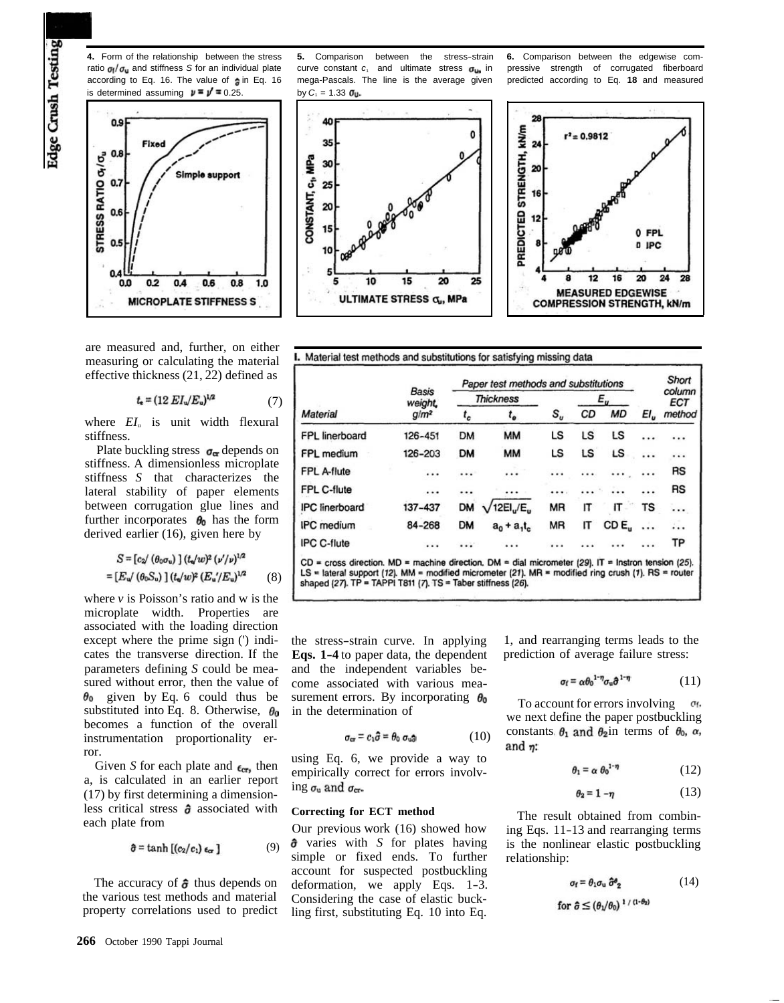Edge Crush Testing



are measured and, further, on either measuring or calculating the material effective thickness (21, 22) defined as

$$
t_{\rm e} = (12 \, EI_{\rm u}/E_{\rm u})^{1/2} \tag{7}
$$

where  $EI_{\rm u}$  is unit width flexural stiffness.

Plate buckling stress  $\sigma_{\alpha}$  depends on stiffness. A dimensionless microplate stiffness *S* that characterizes the lateral stability of paper elements between corrugation glue lines and further incorporates  $\theta_0$  has the form derived earlier (16), given here by

$$
S = [c_2 / (\theta_0 \sigma_u)] (t_u / w)^2 (v'/\nu)^{1/2}
$$
  
=  $[E_u / (\theta_0 S_u)] (t_u / w)^2 (E_u'/E_u)^{1/2}$  (8)

where *v* is Poisson's ratio and w is the microplate width. Properties are associated with the loading direction except where the prime sign (') indicates the transverse direction. If the parameters defining *S* could be measured without error, then the value of  $\theta_0$  given by Eq. 6 could thus be substituted into Eq. 8. Otherwise,  $\theta_0$ becomes a function of the overall instrumentation proportionality error.

Given *S* for each plate and  $\epsilon_{\text{crs}}$  then a, is calculated in an earlier report (17) by first determining a dimensionless critical stress  $\hat{\sigma}$  associated with each plate from

$$
\hat{\sigma} = \tanh\left[\left(c_2/c_1\right)\epsilon_{cr}\right] \tag{9}
$$

The accuracy of  $\hat{\sigma}$  thus depends on the various test methods and material property correlations used to predict

**266** October 1990 Tappi Journal

ratio  $\sigma_1/\sigma_u$  and stiffness *S* for an individual plate curve constant *c*<sub>1</sub> and ultimate stress  $\sigma_{u_n}$  in according to Eq. 16. The value of  $\sigma_n$  in Eq. 16 mega-Pascals. The line is the average given mega-Pascals. The line is the average given predicted according to Eq. 18 and measured

**4.** Form of the relationship between the stress **5.** Comparison between the stress-strain **6.** Comparison between the edgewise com-<br>ratio  $\sigma_l/\sigma_u$  and stiffness S for an individual plate curve constant c, and ultimate str





Material test methods and substitutions for satisfying missing data

| <b>Material</b>                                                                                                                                                                                                                                                                  |                                    |                  |                                   | Paper test methods and substitutions |     |                 |          | Short         |
|----------------------------------------------------------------------------------------------------------------------------------------------------------------------------------------------------------------------------------------------------------------------------------|------------------------------------|------------------|-----------------------------------|--------------------------------------|-----|-----------------|----------|---------------|
|                                                                                                                                                                                                                                                                                  | <b>Basis</b><br>weight,<br>$q/m^2$ | <b>Thickness</b> |                                   |                                      | Ε., |                 |          | column<br>ECT |
|                                                                                                                                                                                                                                                                                  |                                    | $\mathfrak{c}_c$ | $t_{e}$                           | $S_{\scriptscriptstyle n}$           | CD  | <b>MD</b>       | $EI_{u}$ | method        |
| FPL linerboard                                                                                                                                                                                                                                                                   | 126-451                            | DM               | <b>MM</b>                         | LS                                   | LS  | LS              |          |               |
| FPL medium                                                                                                                                                                                                                                                                       | 126-203                            | <b>DM</b>        | <b>MM</b>                         | LS                                   | LS  | LS              |          | .             |
| FPL A-flute                                                                                                                                                                                                                                                                      | .                                  |                  | .                                 | .                                    | .   |                 |          | RS            |
| FPL C-flute                                                                                                                                                                                                                                                                      | $\cdots$                           |                  | .                                 |                                      |     |                 |          | RS            |
| <b>IPC</b> linerboard                                                                                                                                                                                                                                                            | 137-437                            | <b>DM</b>        | 12EI <sub>u</sub> /E <sub>u</sub> | <b>MR</b>                            | ΙT  | IT              | TS       |               |
| <b>IPC</b> medium                                                                                                                                                                                                                                                                | 84-268                             | <b>DM</b>        | $a_0 + a_1 t_c$                   | MR                                   | IT  | CD <sub>E</sub> |          |               |
| <b>IPC C-flute</b>                                                                                                                                                                                                                                                               |                                    |                  |                                   |                                      |     |                 |          | TP            |
| $CD = cross$ direction. MD = machine direction. DM = dial micrometer (29). IT = Instron tension (25).<br>LS = lateral support (12). MM = modified micrometer (21). MR = modified ring crush (1). RS = router<br>shaped (27). $TP = TAPPI T811$ (7). $TS = Taber$ stiffness (26). |                                    |                  |                                   |                                      |     |                 |          |               |

the stress-strain curve. In applying 1, and rearranging terms leads to the **Eqs. 1-4** to paper data, the dependent prediction of average failure stress: **Eqs. 1-4** to paper data, the dependent and the independent variables become associated with various measurement errors. By incorporating  $\theta_0$  To account for errors involving  $\sigma_t$ , we next define the paper postbuckling

$$
\sigma_{cr} = c_1 \hat{\sigma} = \theta_0 \sigma_{u\hat{\sigma}} \tag{10}
$$

using Eq. 6, we provide a way to empirically correct for errors involving  $\sigma_u$  and  $\sigma_{cr}$ .

simple or fixed ends. To further relationship: account for suspected postbuckling deformation, we apply Eqs.  $1-3$ . Considering the case of elastic buckling first, substituting Eq. 10 into Eq.

$$
\sigma_f = \alpha \theta_0^{1-\eta} \sigma_u \hat{\sigma}^{1-\eta} \tag{11}
$$

(10) constants  $\theta_1$  and  $\theta_2$  in terms of  $\theta_0$ ,  $\alpha$ , and  $\eta$ :

$$
\theta_1 = \alpha \; \theta_0^{1-\eta} \tag{12}
$$

$$
\theta_2 = 1 - \eta \tag{13}
$$

**Correcting for ECT method** The result obtained from combin-<br>Our previous work (16) showed how ing Eqs. 11-13 and rearranging terms<br> $\hat{\sigma}$  varies with S for plates having is the nonlinear elastic postbuckling is the nonlinear elastic postbuckling

$$
\sigma_{\mathbf{f}} = \theta_1 \sigma_{\mathbf{u}} \, \hat{\sigma}^{\mathbf{e}}_2 \tag{14}
$$

for 
$$
\hat{\sigma} \leq (\theta_1/\theta_0)^{1/(1-\theta_2)}
$$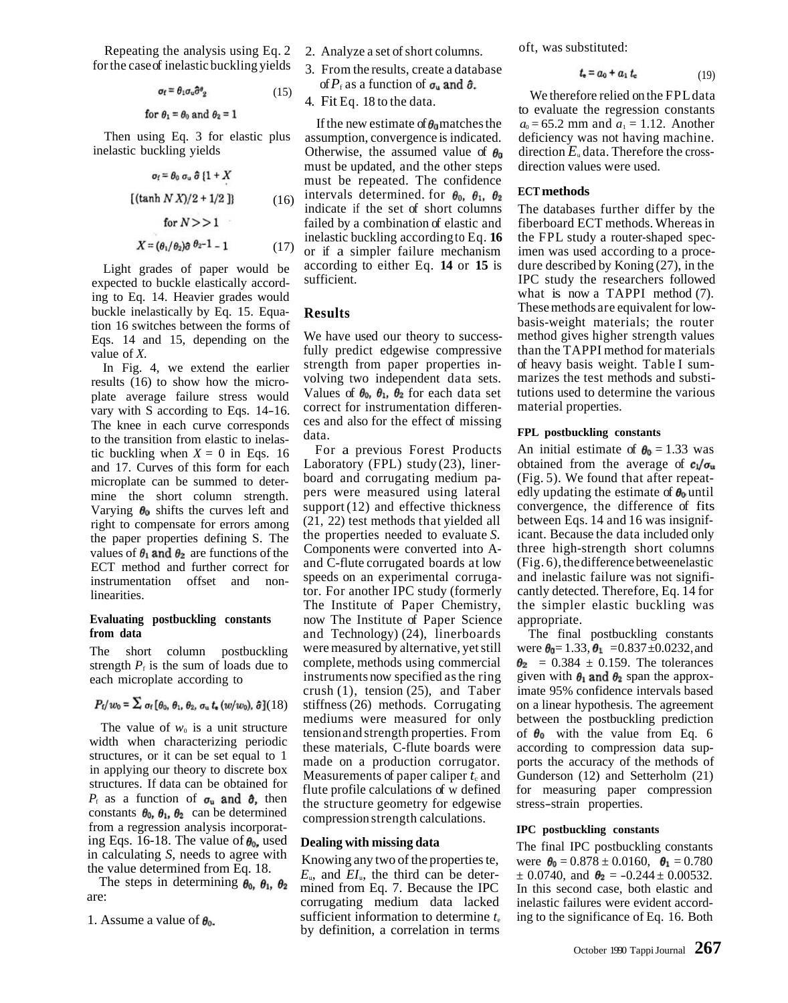Repeating the analysis using Eq. 2 for the case of inelastic buckling yields

$$
\sigma_f = \theta_1 \sigma_u \hat{\sigma}^g{}_2 \tag{15}
$$

for  $\theta_1 = \theta_0$  and  $\theta_2 = 1$ 

Then using Eq. 3 for elastic plus inelastic buckling yields

$$
\sigma_f = \theta_0 \sigma_u \hat{\sigma} \{1 + X
$$
  
[(tanh N X)/2 + 1/2 ]} (16)  
for N>>1  

$$
X = (\theta_1/\theta_2)\hat{\sigma} \theta_2 - 1 - 1
$$
 (17)

Light grades of paper would be expected to buckle elastically according to Eq. 14. Heavier grades would buckle inelastically by Eq. 15. Equation 16 switches between the forms of Eqs. 14 and 15, depending on the value of *X.* 

In Fig. 4, we extend the earlier results (16) to show how the microplate average failure stress would vary with S according to Eqs. 14-16. The knee in each curve corresponds to the transition from elastic to inelastic buckling when  $X = 0$  in Eqs. 16 and 17. Curves of this form for each microplate can be summed to determine the short column strength. Varying  $\theta_0$  shifts the curves left and right to compensate for errors among the paper properties defining S. The values of  $\theta_1$  and  $\theta_2$  are functions of the ECT method and further correct for instrumentation offset and nonlinearities.

#### **Evaluating postbuckling constants from data**

The short column postbuckling strength  $P<sub>f</sub>$  is the sum of loads due to each microplate according to

# $P_{\rm f}/w_0 = \sum \sigma_{\rm f} [\theta_0, \theta_1, \theta_2, \sigma_{\rm u} t_{\rm e}(w/w_0), \hat{\sigma}]$  (18)

The value of  $w_0$  is a unit structure width when characterizing periodic structures, or it can be set equal to 1 in applying our theory to discrete box structures. If data can be obtained for  $P_f$  as a function of  $\sigma_u$  and  $\partial_t$ , then constants  $\theta_0$ ,  $\theta_1$ ,  $\theta_2$  can be determined from a regression analysis incorporating Eqs. 16-18. The value of  $\theta_{0}$ , used in calculating *S,* needs to agree with the value determined from Eq. 18.

The steps in determining  $\theta_0$ ,  $\theta_1$ ,  $\theta_2$ are:

1. Assume a value of  $\theta_0$ .

- 2. Analyze a set of short columns.
- 3. From the results, create a database of  $P_f$  as a function of  $\sigma_u$  and  $\hat{\sigma}_u$ .

4. Fit Eq. 18 to the data.

If the new estimate of  $\theta_0$  matches the assumption, convergence is indicated. Otherwise, the assumed value of  $\theta_0$ must be updated, and the other steps must be repeated. The confidence intervals determined. for  $\theta_0$ ,  $\theta_1$ ,  $\theta_2$ indicate if the set of short columns failed by a combination of elastic and inelastic buckling according to Eq. **16**  or if a simpler failure mechanism according to either Eq. **14** or **15** is sufficient.

### **Results**

 $(6)$ 

We have used our theory to successfully predict edgewise compressive strength from paper properties involving two independent data sets. Values of  $\theta_0$ ,  $\theta_1$ ,  $\theta_2$  for each data set correct for instrumentation differences and also for the effect of missing data.

For a previous Forest Products Laboratory (FPL) study (23), linerboard and corrugating medium papers were measured using lateral support (12) and effective thickness (21, 22) test methods that yielded all the properties needed to evaluate *S.*  Components were converted into Aand C-flute corrugated boards at low speeds on an experimental corrugator. For another IPC study (formerly The Institute of Paper Chemistry, now The Institute of Paper Science and Technology) (24), linerboards were measured by alternative, yet still complete, methods using commercial instruments now specified as the ring crush (1), tension (25), and Taber stiffness (26) methods. Corrugating mediums were measured for only tension and strength properties. From these materials, C-flute boards were made on a production corrugator. Measurements of paper caliper  $t_c$  and flute profile calculations of w defined the structure geometry for edgewise compression strength calculations.

### **Dealing with missing data**

Knowing any two of the properties te, *E*u, and *EI*u, the third can be determined from Eq. 7. Because the IPC corrugating medium data lacked sufficient information to determine  $t_{e}$ by definition, a correlation in terms

oft, was substituted:

$$
t_{\rm e} = a_0 + a_1 t_{\rm e} \tag{19}
$$

We therefore relied on the FPL data to evaluate the regression constants  $a_0 = 65.2$  mm and  $a_1 = 1.12$ . Another deficiency was not having machine. direction  $E<sub>u</sub>$  data. Therefore the crossdirection values were used.

### **ECT methods**

The databases further differ by the fiberboard ECT methods. Whereas in the FPL study a router-shaped specimen was used according to a procedure described by Koning (27), in the IPC study the researchers followed what is now a TAPPI method  $(7)$ . These methods are equivalent for lowbasis-weight materials; the router method gives higher strength values than the TAPPI method for materials of heavy basis weight. Table I summarizes the test methods and substitutions used to determine the various material properties.

### **FPL postbuckling constants**

An initial estimate of  $\theta_0 = 1.33$  was obtained from the average of  $c_1/\sigma_u$ (Fig. 5). We found that after repeatedly updating the estimate of  $\theta_0$  until convergence, the difference of fits between Eqs. 14 and 16 was insignificant. Because the data included only three high-strength short columns (Fig. 6), the difference betweenelastic and inelastic failure was not significantly detected. Therefore, Eq. 14 for the simpler elastic buckling was appropriate.

The final postbuckling constants were  $\theta_0 = 1.33$ ,  $\theta_1 = 0.837 \pm 0.0232$ , and  $\theta_2$  = 0.384  $\pm$  0.159. The tolerances given with  $\theta_1$  and  $\theta_2$  span the approximate 95% confidence intervals based on a linear hypothesis. The agreement between the postbuckling prediction of  $\theta_0$  with the value from Eq. 6 according to compression data supports the accuracy of the methods of Gunderson (12) and Setterholm (21) for measuring paper compression stress-strain properties.

#### **IPC postbuckling constants**

The final IPC postbuckling constants were  $\theta_0 = 0.878 \pm 0.0160$ ,  $\theta_1 = 0.780$  $\pm$  0.0740, and  $\theta_2$  = -0.244  $\pm$  0.00532. In this second case, both elastic and inelastic failures were evident according to the significance of Eq. 16. Both